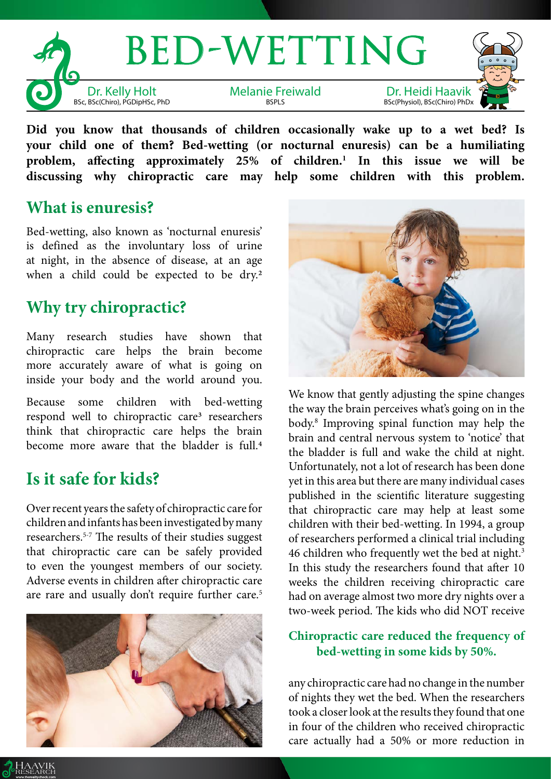

**Did you know that thousands of children occasionally wake up to a wet bed? Is your child one of them? Bed-wetting (or nocturnal enuresis) can be a humiliating problem, affecting approximately 25% of children.1 In this issue we will be discussing why chiropractic care may help some children with this problem.**

### **What is enuresis?**

Bed-wetting, also known as 'nocturnal enuresis' is defined as the involuntary loss of urine at night, in the absence of disease, at an age when a child could be expected to be dry.<sup>2</sup>

## **Why try chiropractic?**

Many research studies have shown that chiropractic care helps the brain become more accurately aware of what is going on inside your body and the world around you.

Because some children with bed-wetting respond well to chiropractic care3 researchers think that chiropractic care helps the brain become more aware that the bladder is full.4

# **Is it safe for kids?**

Over recent years the safety of chiropractic care for children and infants has been investigated by many researchers.5-7 The results of their studies suggest that chiropractic care can be safely provided to even the youngest members of our society. Adverse events in children after chiropractic care are rare and usually don't require further care.<sup>5</sup>





We know that gently adjusting the spine changes the way the brain perceives what's going on in the body.8 Improving spinal function may help the brain and central nervous system to 'notice' that the bladder is full and wake the child at night. Unfortunately, not a lot of research has been done yet in this area but there are many individual cases published in the scientific literature suggesting that chiropractic care may help at least some children with their bed-wetting. In 1994, a group of researchers performed a clinical trial including 46 children who frequently wet the bed at night.<sup>3</sup> In this study the researchers found that after 10 weeks the children receiving chiropractic care had on average almost two more dry nights over a two-week period. The kids who did NOT receive

#### **Chiropractic care reduced the frequency of bed-wetting in some kids by 50%.**

any chiropractic care had no change in the number of nights they wet the bed. When the researchers took a closer look at the results they found that one in four of the children who received chiropractic care actually had a 50% or more reduction in